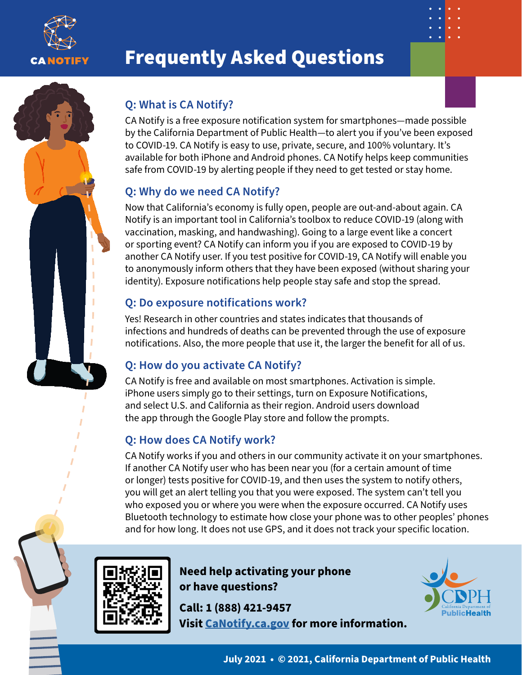

# Frequently Asked Questions



# **Q: What is CA Notify?**

CA Notify is a free exposure notification system for smartphones—made possible by the California Department of Public Health—to alert you if you've been exposed to COVID-19. CA Notify is easy to use, private, secure, and 100% voluntary. It's available for both iPhone and Android phones. CA Notify helps keep communities safe from COVID-19 by alerting people if they need to get tested or stay home.

#### **Q: Why do we need CA Notify?**

Now that California's economy is fully open, people are out-and-about again. CA Notify is an important tool in California's toolbox to reduce COVID-19 (along with vaccination, masking, and handwashing). Going to a large event like a concert or sporting event? CA Notify can inform you if you are exposed to COVID-19 by another CA Notify user. If you test positive for COVID-19, CA Notify will enable you to anonymously inform others that they have been exposed (without sharing your identity). Exposure notifications help people stay safe and stop the spread.

#### **Q: Do exposure notifications work?**

Yes! Research in other countries and states indicates that thousands of infections and hundreds of deaths can be prevented through the use of exposure notifications. Also, the more people that use it, the larger the benefit for all of us.

## **Q: How do you activate CA Notify?**

CA Notify is free and available on most smartphones. Activation is simple. iPhone users simply go to their settings, turn on Exposure Notifications, and select U.S. and California as their region. Android users download the app through the Google Play store and follow the prompts.

## **Q: How does CA Notify work?**

CA Notify works if you and others in our community activate it on your smartphones. If another CA Notify user who has been near you (for a certain amount of time or longer) tests positive for COVID-19, and then uses the system to notify others, you will get an alert telling you that you were exposed. The system can't tell you who exposed you or where you were when the exposure occurred. CA Notify uses Bluetooth technology to estimate how close your phone was to other peoples' phones and for how long. It does not use GPS, and it does not track your specific location.



**Need help activating your phone or have questions?**

**Call: 1 (888) 421-9457 Visit [CaNotify.ca.gov](https://canotify.ca.gov/) for more information.**

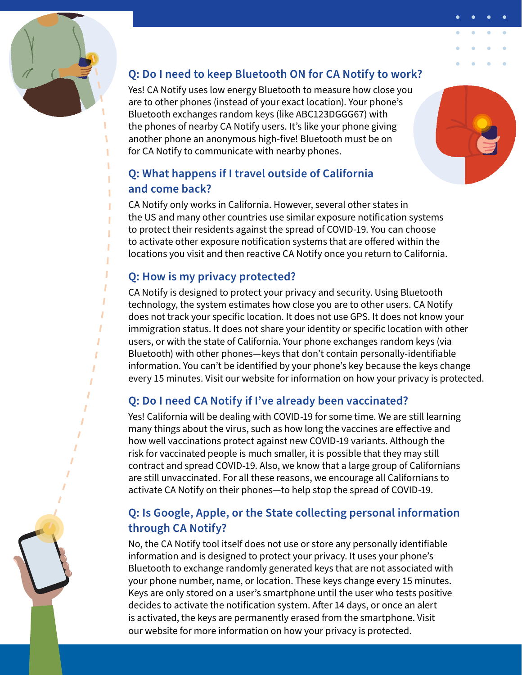

## **Q: Do I need to keep Bluetooth ON for CA Notify to work?**

Yes! CA Notify uses low energy Bluetooth to measure how close you are to other phones (instead of your exact location). Your phone's Bluetooth exchanges random keys (like ABC123DGGG67) with the phones of nearby CA Notify users. It's like your phone giving another phone an anonymous high-five! Bluetooth must be on for CA Notify to communicate with nearby phones.

# **Q: What happens if I travel outside of California and come back?**

CA Notify only works in California. However, several other states in the US and many other countries use similar exposure notification systems to protect their residents against the spread of COVID-19. You can choose to activate other exposure notification systems that are offered within the locations you visit and then reactive CA Notify once you return to California.

## **Q: How is my privacy protected?**

CA Notify is designed to protect your privacy and security. Using Bluetooth technology, the system estimates how close you are to other users. CA Notify does not track your specific location. It does not use GPS. It does not know your immigration status. It does not share your identity or specific location with other users, or with the state of California. Your phone exchanges random keys (via Bluetooth) with other phones—keys that don't contain personally-identifiable information. You can't be identified by your phone's key because the keys change every 15 minutes. Visit our website for information on how your privacy is protected.

## **Q: Do I need CA Notify if I've already been vaccinated?**

Yes! California will be dealing with COVID-19 for some time. We are still learning many things about the virus, such as how long the vaccines are effective and how well vaccinations protect against new COVID-19 variants. Although the risk for vaccinated people is much smaller, it is possible that they may still contract and spread COVID-19. Also, we know that a large group of Californians are still unvaccinated. For all these reasons, we encourage all Californians to activate CA Notify on their phones—to help stop the spread of COVID-19.

## **Q: Is Google, Apple, or the State collecting personal information through CA Notify?**

No, the CA Notify tool itself does not use or store any personally identifiable information and is designed to protect your privacy. It uses your phone's Bluetooth to exchange randomly generated keys that are not associated with your phone number, name, or location. These keys change every 15 minutes. Keys are only stored on a user's smartphone until the user who tests positive decides to activate the notification system. After 14 days, or once an alert is activated, the keys are permanently erased from the smartphone. Visit our website for more information on how your privacy is protected.